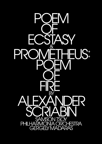

# **ATBII** PHILHARMONIA ORCHESTRA<br>GERGELY MADARAS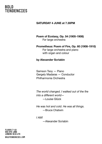#### **SATURDAY 4 JUNE at 7.30PM**

#### **Poem of Ecstasy, Op. 54 (1905-1908)** For large orchestra

#### **Prometheus: Poem of Fire, Op. 60 (1908-1910)**

For large orchestra and piano with organ and colour

#### **by Alexander Scriabin**

Samson Tsoy — Piano Gergely Madaras — Conductor Philharmonia Orchestra

*The world changed. I walked out of the fire into a different world—* —Louise Glück

*He was hot and cold. He was all things.* —Bruce Chatwin

*I AM!*

—Alexander Scriabin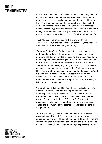In 2022 Bold Tendencies speculates on the future of love, care and intimacy and asks what love looks and feels like now. Try as we might, love remains an elusive and contradictory muse. Home of the naïve, the desperate, and the hopelessly romantic, it is both a source of limitless pleasure and the heavy burden of its tragedy. Love can arrest us, precipitate disaster and solicit untold ecstasy. It can ignite revolutions, overcome grief and melancholy, and allow us to express our most intimate desires. With love all is to play for.

The 2022 Live Programme begins this evening with two one-movement symphonies by visionary composer, innovator and free thinker Alexander Scriabin (1872-1915).

**'Poem of Ecstasy'** took Scriabin nearly three years to perfect. In rhythm and mood it is at times languorous - twisting and turning at other times dramatically fearful, building and increasing, slowing so as to speed ahead, softening in order to harden, all overseen by evocative, unconventional expression markings in the score — 'perfumed', 'with a feeling of growing intoxication', 'with a sensual pleasure becoming more and more ecstatic', 'almost in delirium'. Henry Miller wrote of the music having "that faroff cosmic itch" and we share in its extended waves of unresolved yearning and tensions until the final conclusion, when the full power of the orchestra overwhelms and releases spirit and flesh, followed by a brief moment of weariness.

**'Poem of Fire'** is dedicated to Prometheus, the rebel god of fire, creator of the mortal world and champion of humankind technology, knowledge, civilization... Scriabin saw in the fire of Prometheus the symbol of human consciousness and creative energy. The mystical rhythms of 'Poem of Fire' suggest the presence of the human emerging from primordial formlessness, dancing to the rhythms of the cosmos — an unfolding drama of enlightenment.

Scriabin had daring, ahead-of-his-time ideas about the visual presentation of 'Poem of Fire' and imagined the performance space bathed in a vast interplay of coloured lights together with the strikingly original, supercharged sound world of his music. He also invented a *tastiera per luce* (keyboard for light) specifically for the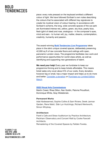piece: every note pressed on the keyboard emitted a different colour of light. We have followed Scribain's own notes describing the colours that he associated with different key signatures to create his mystical vision of colour-hearing. In accordance with Scribain's scheme, the long, wide concrete spaces of the car park are illuminated intense red, yellow, green, sky blue, pearly blue, flesh (glint of steel) and rose, analogous - in the composer's eyes, mind and ears - to human will, joy, matter, dreams, contemplation, creativity, humanity and passion.

The award-winning **[Bold Tendencies Live Programme](https://boldtendencies.com/events-tickets/)** takes place in the site's unique covered spaces, deliberately preserving 42,000 sq ft of raw concrete floors and ceilings with open, panoramic London views. The programme facilitates new work and performance opportunities for world-class artists, as well as identifying and supporting new generations of talent.

**We need your help!** Every year we fundraise to keep our programme thriving and to keep tickets affordable. This means ticket sales only cover about 5% of our costs. Every donation, however big or small, has a major impact and helps us to do more and better. [Consider a donation](https://www.paypal.com/donate/?hosted_button_id=SA6826UCVJNWC) or [Purchase our Limited](https://boldtendencies.bigcartel.com/) Edition [Merch](https://boldtendencies.bigcartel.com/).

#### **[2022 Visual Arts Commissions](https://boldtendencies.com/programme/)**

Martin Creed, Rhea Dillon, Nan Goldin, Paloma Proudfoot, Dominique White, Gray Wielebinski.

#### **Permanent Works**

Adel Abdessemed, Sophie Collins & Sam Riviere, Derek Jarman Garden, Rene Matić. Siân Lyn Hutchings, Richard Wentworth, Simon Whybray.

#### **Architecture**

Frank's Cafe and Straw Auditorium by Practice Architecture. Peckham Observatory and Concert Wall by Cooke Fawcett Architects.

Remastering of the Covered Spaces by Feilden Fowles.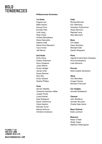#### **Philharmonia Orchestra**

#### **1st Violin**

Eugene Lee Millie Ashton Soong Choo Eunsley Park Julia Liang Peter Fisher Andrea Montalbano Diana Galvydyte Alberto Vidal Maria-Fiore Mazzarini Coco Inman Jeff Moore

#### **2nd Violin**

Emily Davis Gideon Robinson Nuno Carapina Julian Milone Susan Hedger James Chen Susan Bowran Alex Afia Emily Holland Sophie Phillips

#### **Viola**

Sylvain Séailles Cheremie Hamilton-Miller Joseph Fisher Linda Kidwell Sara Sheppard Daichi Yoshimura Claire Newton Michael Turner Mariya Sotirova Christine Anderson

#### **Cello**

Richard Birchall Eric Villeminey Yaroslava Trofymchuk Tessa Seymour Raphael Lang Alba Merchant

#### **Bass**

Tim Gibbs Owen Nicolaou Michael Fuller Gareth Sheppard

#### **Flute**

Jagoda Krzeminska-Chalupka Anna Kondrashina Luke Strevens

**Piccolo** Sofia Castillo Zambrano

#### **Oboe**

Tom Blomfield Imogen Davies Michael O'Donnell

**Cor Anglais** Jennifer Brittlebank

#### **Clarinet**

John Bradbury Jennifer McLaren Charlie Dale-Harris

**Bass Clarinet** Katie Lockhart

#### **Bassoon**

Robin O'Neill Shelly Organ Matthew Kitteringham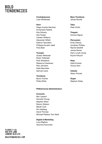#### **Contrabassoon**

Luke Whitehead

#### **Horn**

Diego Incertis Sánchez Annemarie Federle Kira Doherty Zoë Tweed Carsten Williams Alexander Willett Kathryn Saunders Philippa Koushk-Jalali Flora Bain

#### **Trumpet**

Gustav Melander Robin Totterdell Ruth Shaddock Rebecca Crawshaw Rob Johnston Katie Bannister Samuel Lewis

#### **Trombone**

Byron Fulcher Philip White

#### **Philharmonia Administrators**

#### **Concerts**

Ben Larpent Kenneth Chung Stephen Ward Breony Watson Bekah Cork Per Hedberg David Thomas Michael Pattison Toni Abell

**Digital & Marketing** Luca Migliore Veronica Kocovska

**FLOORS 7-10** 95A RYE LANE **LONDON SE15 4TG** BOLDTENDENCIES.COM

#### **Bass Trombone** James Buckle

**Tuba** Peter Smith

**Timpani** Antoine Sigure

#### **Percussion**

Emily Feeney Jonathan Phillips Rachel Gledhill James Bower Harry Lovell-Jones Kiyomi Kikuchi

#### **Harp**

Heidi Krutzen Tomos Xerri

**Celeste** Alison Procter

**Organ** Stephen Disley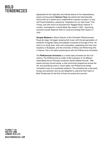Applauded for the originality and intense drama of his interpretations, award-winning pianist **Samson Tsoy** has performed internationally. Active both as a soloist and a collaborative musician he plays in a duo with Pavel Kolesnikov, praised as "inspiration for our dark times" (The Times), and with whom he launched the 'Ragged Music Festival' in London, nominated for a South Bank Sky Award in 2021. Upcoming concerts include Wigmore Hall (12 June) and Grange Park Opera (17 July).

**Gergely Madaras** is Music Director of the Orchestre Philharmonique Royal de Liège. He began studying folk music with the last generation of authentic Hungarian Gipsy and peasant musicians at the age of five. He went on to study flute, violin and composition, graduating from the Liszt Academy in Budapest, and the University of Music and Performing Arts in Vienna. This is his debut performance with the Philharmonia Orchestra.

The **Philharmonia Orchestra** is a world-class orchestra for the 21st century. The Philharmonia is a team of 80 musicians of 16 different nationalities led by Principal Conductor Santtu-Matias Rouvali. With award-winning concert series, a vital community programme across the UK, and pioneering work in virtual reality, the Philharmonia brings orchestral music to a worldwide audience. The orchestra has a rare spirit, energy and optimism and we are delighted to welcome them back to Bold Tendencies for the first of three live events this summer.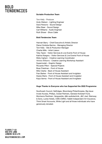#### **Scriabin Production Team**

Tom Kelly - Producer Andy Watson - Lighting Engineer Dave Parsons - Sound Design Mike Steer - Sound Design Carl Williams - Audio Engineer Ruth Shwer - Show Caller

#### **Bold Tendencies Team**

Hannah Barry - Chief Executive & Artistic Director Diana Córdoba Barrios - Managing Director Tom Kelly - Site & Production Manager Charlie Mills - Artist Liaison Toby Taylor - Visitor Services & Live Events Front of House Katrina Nzegwu - Visitor Services & Live Events Front of House Misty Ingham - Creative Learning Coordinator Akhera Williams - Creative Learning Workshop Assistant Supermodel – Graphic Design Riccardo Pillon - Special Projects Boaz Friedman - Front of House Mitzi Clarke - Back of House Assistant Fran Barker - Front of House Assistant and Invigilator Deyka Waris - Front of House Assistant and Invigilator Kaya Varma - Front of House Assistant and Invigilator

#### **Huge Thanks to Everyone who has Supported the 2022 Programme**

Southwark Council, Selfridges. Bloomberg Philanthropies, Big Issue Invest Access, Phillips, Outset Partners, Genesis Kickstart Fund, Morrisons Peckham, Vanguardia, d&b audiotechnik, J&C Joel, Steinway & Sons, Locke Hotels, CMS-CMNO, Hallett Independent Art Insurance, Think Smart Accounts, White Light and all those individuals who have generously donated.